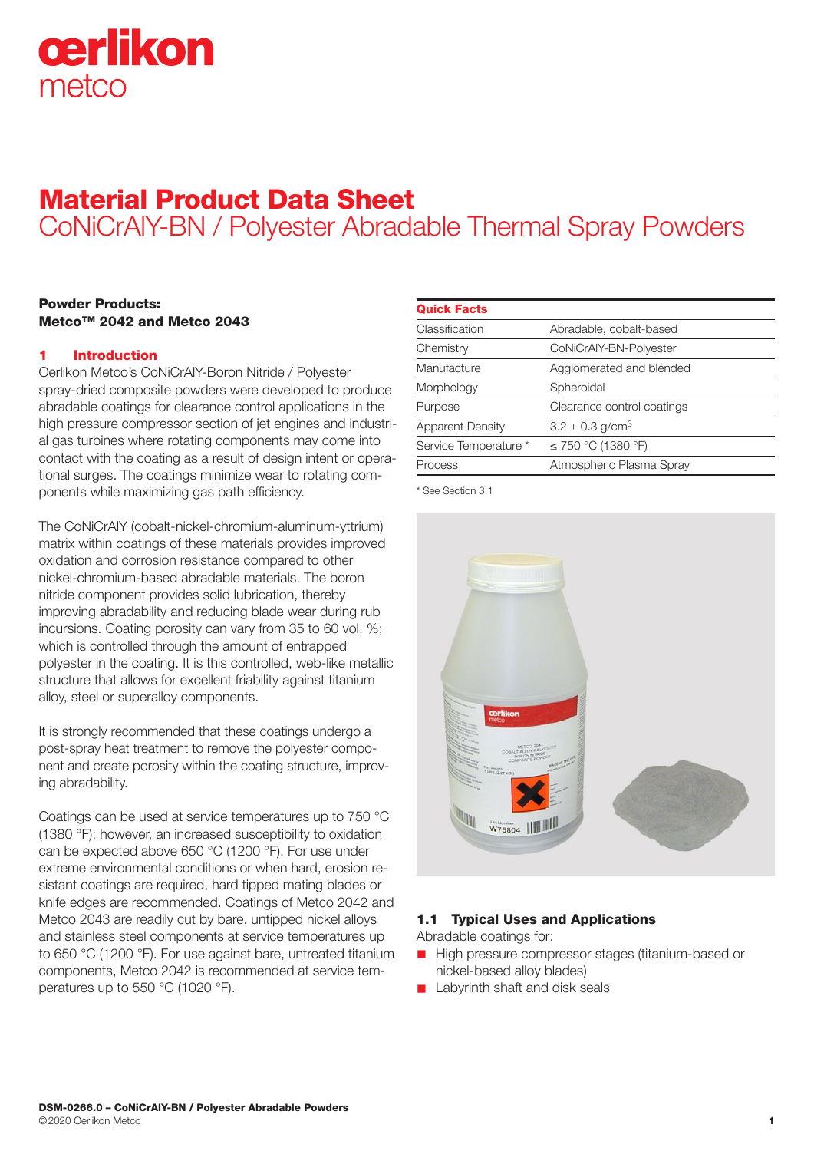

# Material Product Data Sheet CoNiCrAlY-BN / Polyester Abradable Thermal Spray Powders

# Powder Products: Metco™ 2042 and Metco 2043

# 1 Introduction

Oerlikon Metco's CoNiCrAlY-Boron Nitride / Polyester spray-dried composite powders were developed to produce abradable coatings for clearance control applications in the high pressure compressor section of jet engines and industrial gas turbines where rotating components may come into contact with the coating as a result of design intent or operational surges. The coatings minimize wear to rotating components while maximizing gas path efficiency.

The CoNiCrAlY (cobalt-nickel-chromium-aluminum-yttrium) matrix within coatings of these materials provides improved oxidation and corrosion resistance compared to other nickel-chromium-based abradable materials. The boron nitride component provides solid lubrication, thereby improving abradability and reducing blade wear during rub incursions. Coating porosity can vary from 35 to 60 vol. %; which is controlled through the amount of entrapped polyester in the coating. It is this controlled, web-like metallic structure that allows for excellent friability against titanium alloy, steel or superalloy components.

It is strongly recommended that these coatings undergo a post-spray heat treatment to remove the polyester component and create porosity within the coating structure, improving abradability.

Coatings can be used at service temperatures up to 750 °C (1380 °F); however, an increased susceptibility to oxidation can be expected above 650 °C (1200 °F). For use under extreme environmental conditions or when hard, erosion resistant coatings are required, hard tipped mating blades or knife edges are recommended. Coatings of Metco 2042 and Metco 2043 are readily cut by bare, untipped nickel alloys and stainless steel components at service temperatures up to 650 °C (1200 °F). For use against bare, untreated titanium components, Metco 2042 is recommended at service temperatures up to 550 °C (1020 °F).

| <b>Quick Facts</b>      |                                 |
|-------------------------|---------------------------------|
| Classification          | Abradable, cobalt-based         |
| Chemistry               | CoNiCrAlY-BN-Polyester          |
| Manufacture             | Agglomerated and blended        |
| Morphology              | Spheroidal                      |
| Purpose                 | Clearance control coatings      |
| <b>Apparent Density</b> | $3.2 \pm 0.3$ g/cm <sup>3</sup> |
| Service Temperature *   | ≤ 750 °C (1380 °F)              |
| Process                 | Atmospheric Plasma Spray        |
|                         |                                 |

\* See Section 3.1



# 1.1 Typical Uses and Applications

Abradable coatings for:

- High pressure compressor stages (titanium-based or nickel-based alloy blades)
- **n** Labyrinth shaft and disk seals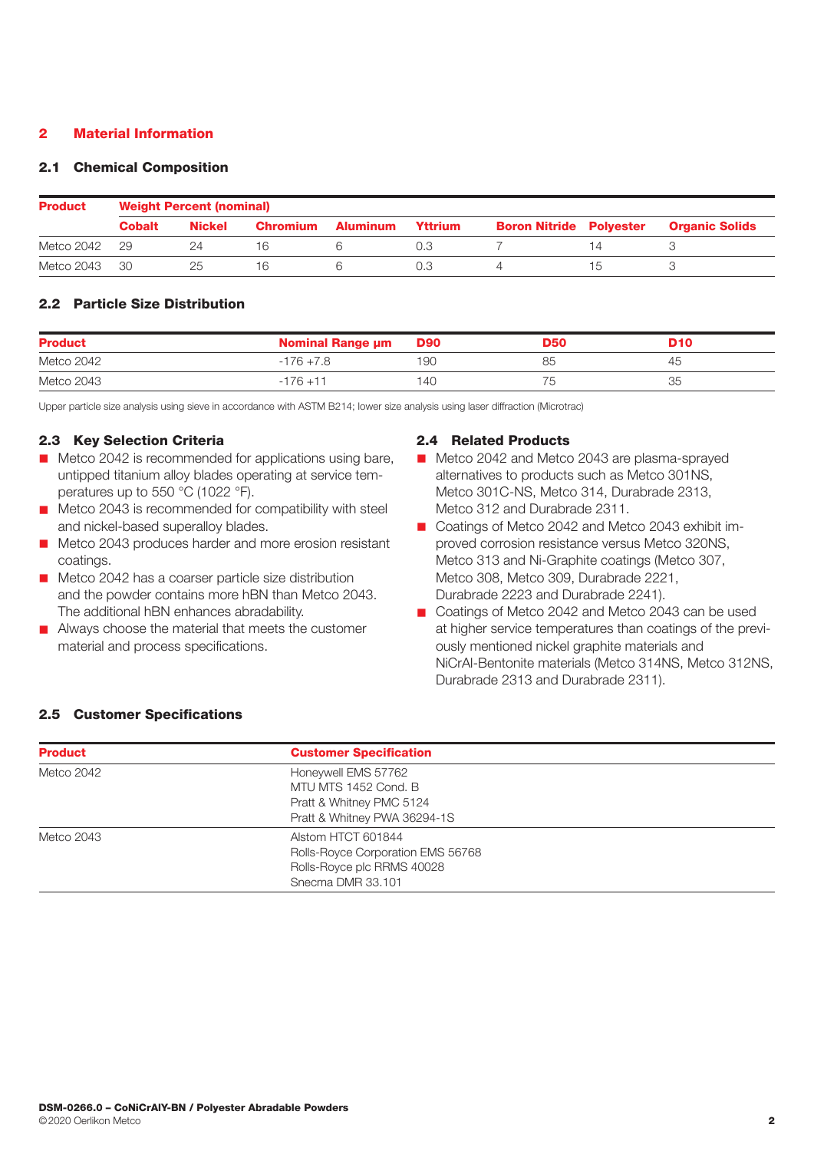# 2 Material Information

#### 2.1 Chemical Composition

| <b>Product</b> | <b>Weight Percent (nominal)</b> |               |                 |          |         |                                |  |                       |  |
|----------------|---------------------------------|---------------|-----------------|----------|---------|--------------------------------|--|-----------------------|--|
|                | <b>Cobalt</b>                   | <b>Nickel</b> | <b>Chromium</b> | Aluminum | Yttrium | <b>Boron Nitride Polyester</b> |  | <b>Organic Solids</b> |  |
| Metco 2042     | 29                              |               | l hi            |          |         |                                |  |                       |  |
| Metco 2043     | -30                             | 25            | Ib              |          |         |                                |  |                       |  |

# 2.2 Particle Size Distribution

| <b>Product</b> | <b>Nominal Range um</b> | <b>D90</b> | D50 | <b>D10</b> |
|----------------|-------------------------|------------|-----|------------|
| Metco 2042     | $-176 + 7.8$            | 190        | 85  | 45         |
| Metco 2043     | $-176 + 11$             | 140        | 75  | つに         |

Upper particle size analysis using sieve in accordance with ASTM B214; lower size analysis using laser diffraction (Microtrac)

#### 2.3 Key Selection Criteria

- $\blacksquare$  Metco 2042 is recommended for applications using bare, untipped titanium alloy blades operating at service temperatures up to 550 °C (1022 °F).
- $\blacksquare$  Metco 2043 is recommended for compatibility with steel and nickel-based superalloy blades.
- Metco 2043 produces harder and more erosion resistant coatings.
- Metco 2042 has a coarser particle size distribution and the powder contains more hBN than Metco 2043. The additional hBN enhances abradability.
- $\blacksquare$  Always choose the material that meets the customer material and process specifications.

#### 2.4 Related Products

- Metco 2042 and Metco 2043 are plasma-sprayed alternatives to products such as Metco 301NS, Metco 301C-NS, Metco 314, Durabrade 2313, Metco 312 and Durabrade 2311.
- Coatings of Metco 2042 and Metco 2043 exhibit improved corrosion resistance versus Metco 320NS, Metco 313 and Ni-Graphite coatings (Metco 307, Metco 308, Metco 309, Durabrade 2221, Durabrade 2223 and Durabrade 2241).
- Coatings of Metco 2042 and Metco 2043 can be used at higher service temperatures than coatings of the previously mentioned nickel graphite materials and NiCrAl-Bentonite materials (Metco 314NS, Metco 312NS, Durabrade 2313 and Durabrade 2311).

### 2.5 Customer Specifications

| <b>Product</b> | <b>Customer Specification</b>               |  |  |
|----------------|---------------------------------------------|--|--|
| Metco 2042     | Honeywell EMS 57762<br>MTU MTS 1452 Cond, B |  |  |
|                | Pratt & Whitney PMC 5124                    |  |  |
|                | Pratt & Whitney PWA 36294-1S                |  |  |
| Metco 2043     | Alstom HTCT 601844                          |  |  |
|                | Rolls-Royce Corporation EMS 56768           |  |  |
|                | Rolls-Royce plc RRMS 40028                  |  |  |
|                | Snecma DMR 33.101                           |  |  |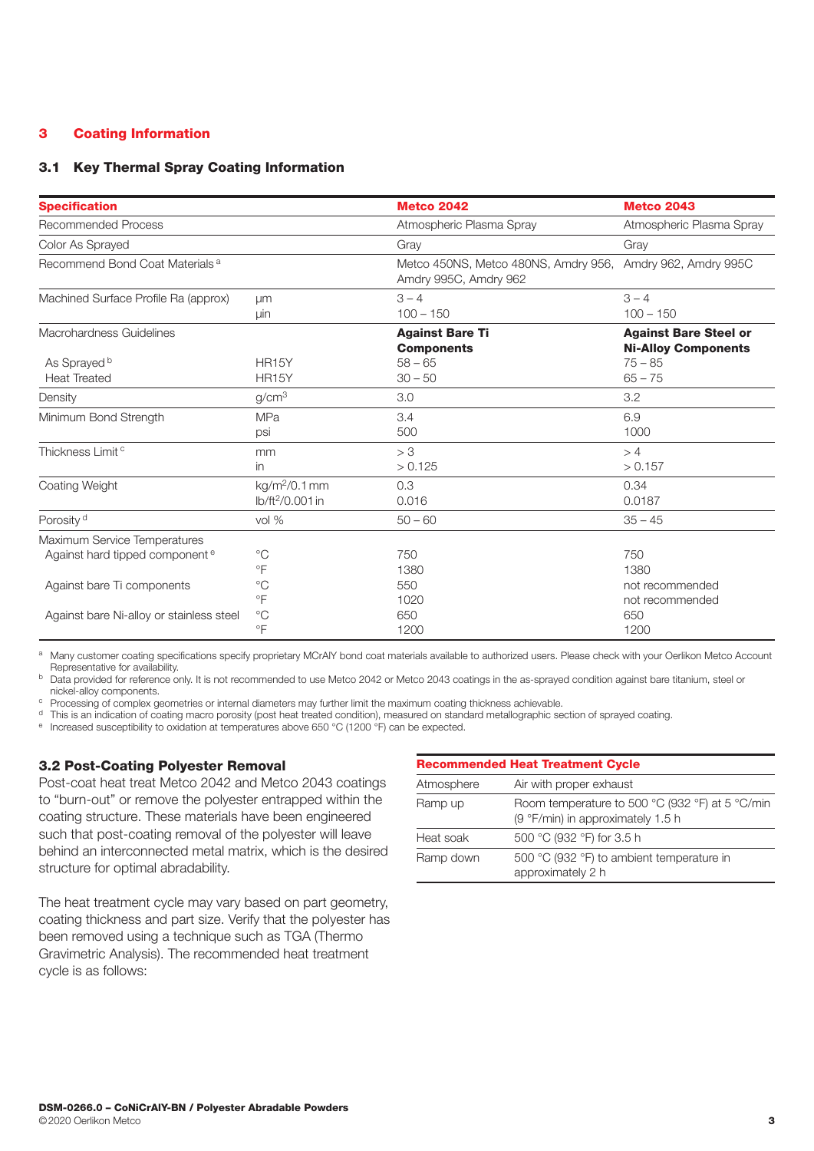# 3 Coating Information

# 3.1 Key Thermal Spray Coating Information

| <b>Specification</b>                       |                              | <b>Metco 2042</b>                                             | <b>Metco 2043</b>                                          |
|--------------------------------------------|------------------------------|---------------------------------------------------------------|------------------------------------------------------------|
| <b>Recommended Process</b>                 |                              | Atmospheric Plasma Spray                                      | Atmospheric Plasma Spray                                   |
| Color As Sprayed                           |                              | Gray                                                          | Gray                                                       |
| Recommend Bond Coat Materials <sup>a</sup> |                              | Metco 450NS, Metco 480NS, Amdry 956,<br>Amdry 995C, Amdry 962 | Amdry 962, Amdry 995C                                      |
| Machined Surface Profile Ra (approx)       | um                           | $3 - 4$                                                       | $3 - 4$                                                    |
|                                            | μiη                          | $100 - 150$                                                   | $100 - 150$                                                |
| Macrohardness Guidelines                   |                              | <b>Against Bare Ti</b><br><b>Components</b>                   | <b>Against Bare Steel or</b><br><b>Ni-Alloy Components</b> |
| As Sprayed <sup>b</sup>                    | HR <sub>15</sub> Y           | $58 - 65$                                                     | $75 - 85$                                                  |
| <b>Heat Treated</b>                        | <b>HR15Y</b>                 | $30 - 50$                                                     | $65 - 75$                                                  |
| Density                                    | g/cm <sup>3</sup>            | 3.0                                                           | 3.2                                                        |
| Minimum Bond Strength                      | <b>MPa</b>                   | 3.4                                                           | 6.9                                                        |
|                                            | psi                          | 500                                                           | 1000                                                       |
| Thickness Limit <sup>c</sup>               | mm                           | > 3                                                           | >4                                                         |
|                                            | in                           | > 0.125                                                       | > 0.157                                                    |
| Coating Weight                             | kg/m <sup>2</sup> /0.1 mm    | 0.3                                                           | 0.34                                                       |
|                                            | lb/ft <sup>2</sup> /0.001 in | 0.016                                                         | 0.0187                                                     |
| Porosity <sup>d</sup>                      | $vol\%$                      | $50 - 60$                                                     | $35 - 45$                                                  |
| Maximum Service Temperatures               | $^{\circ}C$                  | 750                                                           | 750                                                        |
| Against hard tipped component <sup>e</sup> | °F                           | 1380                                                          | 1380                                                       |
| Against bare Ti components                 | $^{\circ}C$                  | 550                                                           | not recommended                                            |
|                                            | $\circ$ F                    | 1020                                                          | not recommended                                            |
| Against bare Ni-alloy or stainless steel   | $^{\circ}C$                  | 650                                                           | 650                                                        |
|                                            | $\circ$ F                    | 1200                                                          | 1200                                                       |

a Many customer coating specifications specify proprietary MCrAlY bond coat materials available to authorized users. Please check with your Oerlikon Metco Account Representative for availability.

b Data provided for reference only. It is not recommended to use Metco 2042 or Metco 2043 coatings in the as-sprayed condition against bare titanium, steel or nickel-alloy components.

<sup>c</sup> Processing of complex geometries or internal diameters may further limit the maximum coating thickness achievable.

<sup>d</sup> This is an indication of coating macro porosity (post heat treated condition), measured on standard metallographic section of sprayed coating.

<sup>e</sup> Increased susceptibility to oxidation at temperatures above 650 °C (1200 °F) can be expected.

# 3.2 Post-Coating Polyester Removal

Post-coat heat treat Metco 2042 and Metco 2043 coatings to "burn-out" or remove the polyester entrapped within the coating structure. These materials have been engineered such that post-coating removal of the polyester will leave behind an interconnected metal matrix, which is the desired structure for optimal abradability.

The heat treatment cycle may vary based on part geometry, coating thickness and part size. Verify that the polyester has been removed using a technique such as TGA (Thermo Gravimetric Analysis). The recommended heat treatment cycle is as follows:

| <b>Recommended Heat Treatment Cycle</b> |                                                                                      |  |  |  |
|-----------------------------------------|--------------------------------------------------------------------------------------|--|--|--|
| Atmosphere                              | Air with proper exhaust                                                              |  |  |  |
| Ramp up                                 | Room temperature to 500 °C (932 °F) at 5 °C/min<br>(9 °F/min) in approximately 1.5 h |  |  |  |
| Heat soak                               | 500 °C (932 °F) for 3.5 h                                                            |  |  |  |
| Ramp down                               | 500 °C (932 °F) to ambient temperature in<br>approximately 2 h                       |  |  |  |